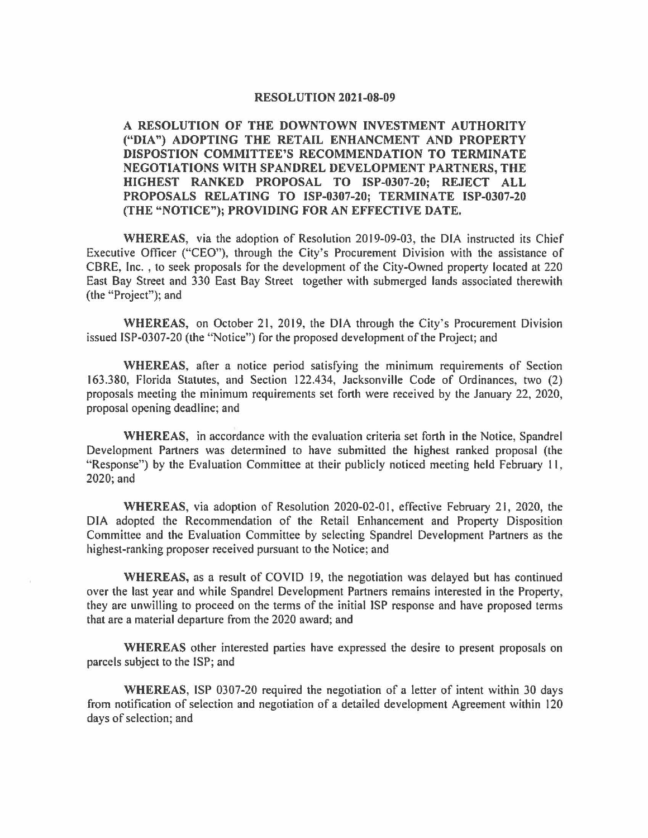## **RESOLUTION 2021-08-09**

**A RESOLUTION OF THE DOWNTOWN INVESTMENT AUTHORITY ("DIA") ADOPTING THE RETAIL ENHANCMENT AND PROPERTY DISPOSTION COMMITTEE'S RECOMMENDATION TO TERMINATE NEGOTIATIONS WITH SPANDREL DEVELOPMENT PARTNERS, THE HIGHEST RANKED PROPOSAL TO ISP-0307-20; REJECT ALL PROPOSALS RELATING TO ISP-0307-20; TERMINATE ISP-0307-20 (THE "NOTICE"); PROVIDING FOR AN EFFECTIVE DATE.** 

**WHEREAS,** via the adoption of Resolution 2019-09-03, the DIA instructed its Chief Executive Officer ("CEO"), through the City's Procurement Division with the assistance of CBRE, Inc. , to seek proposals for the development of the City-Owned property located at 220 East Bay Street and 330 East Bay Street together with submerged lands associated therewith (the "Project"); and

**WHEREAS,** on October 21, 2019, the DIA through the City's Procurement Division issued ISP-0307-20 (the "Notice") for the proposed development of the Project; and

**WHEREAS,** after a notice period satisfying the minimum requirements of Section 163.380, Florida Statutes, and Section 122.434, Jacksonville Code of Ordinances, two (2) proposals meeting the minimum requirements set forth were received by the January 22, 2020, proposal opening deadline; and

**WHEREAS,** in accordance with the evaluation criteria set forth in the Notice, Spandrel Development Partners was determined to have submitted the highest ranked proposal (the " Response") by the Evaluation Committee at their publicly noticed meeting held February 11, 2020;and

WHEREAS, via adoption of Resolution 2020-02-01, effective February 21, 2020, the DIA adopted the Recommendation of the Retail Enhancement and Property Disposition Committee and the Evaluation Committee by selecting Spandrel Development Partners as the highest-ranking proposer received pursuant to the Notice; and

**WHEREAS,** as a result of COVID 19, the negotiation was delayed but has continued over the last year and while Spandrel Development Partners remains interested in the Property, they are unwilling to proceed on the terms of the initial ISP response and have proposed terms that are a material departure from the 2020 award; and

**WHEREAS** other interested parties have expressed the desire to present proposals on parcels subject to the ISP; and

**WHEREAS,** ISP 0307-20 required the negotiation of a letter of intent within 30 days from notification of selection and negotiation of a detailed development Agreement within 120 days of selection; and